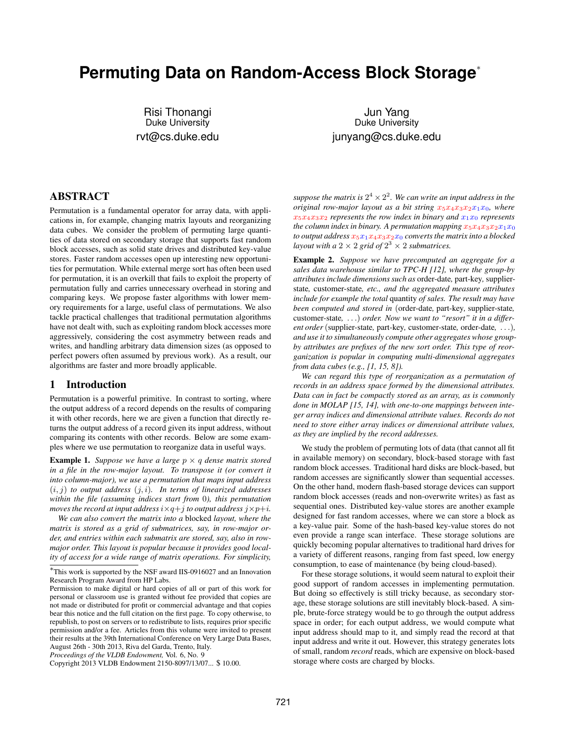# **Permuting Data on Random-Access Block Storage**<sup>∗</sup>

Risi Thonangi Duke University rvt@cs.duke.edu

Jun Yang Duke University junyang@cs.duke.edu

# ABSTRACT

Permutation is a fundamental operator for array data, with applications in, for example, changing matrix layouts and reorganizing data cubes. We consider the problem of permuting large quantities of data stored on secondary storage that supports fast random block accesses, such as solid state drives and distributed key-value stores. Faster random accesses open up interesting new opportunities for permutation. While external merge sort has often been used for permutation, it is an overkill that fails to exploit the property of permutation fully and carries unnecessary overhead in storing and comparing keys. We propose faster algorithms with lower memory requirements for a large, useful class of permutations. We also tackle practical challenges that traditional permutation algorithms have not dealt with, such as exploiting random block accesses more aggressively, considering the cost asymmetry between reads and writes, and handling arbitrary data dimension sizes (as opposed to perfect powers often assumed by previous work). As a result, our algorithms are faster and more broadly applicable.

## 1 Introduction

Permutation is a powerful primitive. In contrast to sorting, where the output address of a record depends on the results of comparing it with other records, here we are given a function that directly returns the output address of a record given its input address, without comparing its contents with other records. Below are some examples where we use permutation to reorganize data in useful ways.

**Example 1.** *Suppose we have a large*  $p \times q$  *dense matrix stored in a file in the row-major layout. To transpose it (or convert it into column-major), we use a permutation that maps input address*  $(i, j)$  *to output address*  $(j, i)$ *. In terms of linearized addresses within the file (assuming indices start from* 0*), this permutation moves the record at input address*  $i \times q + j$  *to output address*  $j \times p + i$ *.* 

*We can also convert the matrix into a* blocked *layout, where the matrix is stored as a grid of submatrices, say, in row-major order, and entries within each submatrix are stored, say, also in rowmajor order. This layout is popular because it provides good locality of access for a wide range of matrix operations. For simplicity,*

*Proceedings of the VLDB Endowment,* Vol. 6, No. 9

suppose the matrix is  $2^4 \times 2^2$  . We can write an input address in the *original row-major layout as a bit string*  $x_5x_4x_3x_2x_1x_0$ *, where*  $x_5x_4x_3x_2$  *represents the row index in binary and*  $x_1x_0$  *represents the column index in binary. A permutation mapping*  $x_5x_4x_3x_2x_1x_0$ *to output address*  $x_5x_1x_4x_3x_2x_0$  *converts the matrix into a blocked layout with a*  $2 \times 2$  *grid of*  $2^3 \times 2$  *submatrices.* 

Example 2. *Suppose we have precomputed an aggregate for a sales data warehouse similar to TPC-H [12], where the group-by attributes include dimensions such as* order-date*,* part-key*,* supplierstate*,* customer-state*, etc., and the aggregated measure attributes include for example the total* quantity *of sales. The result may have been computed and stored in* (order-date*,* part-key*,* supplier-state*,* customer-state*,* . . .) *order. Now we want to "resort" it in a different order*(supplier-state*,* part-key*,* customer-state*,* order-date*,* . . .)*, and use it to simultaneously compute other aggregates whose groupby attributes are prefixes of the new sort order. This type of reorganization is popular in computing multi-dimensional aggregates from data cubes (e.g., [1, 15, 8]).*

*We can regard this type of reorganization as a permutation of records in an address space formed by the dimensional attributes. Data can in fact be compactly stored as an array, as is commonly done in MOLAP [15, 14], with one-to-one mappings between integer array indices and dimensional attribute values. Records do not need to store either array indices or dimensional attribute values, as they are implied by the record addresses.*

We study the problem of permuting lots of data (that cannot all fit in available memory) on secondary, block-based storage with fast random block accesses. Traditional hard disks are block-based, but random accesses are significantly slower than sequential accesses. On the other hand, modern flash-based storage devices can support random block accesses (reads and non-overwrite writes) as fast as sequential ones. Distributed key-value stores are another example designed for fast random accesses, where we can store a block as a key-value pair. Some of the hash-based key-value stores do not even provide a range scan interface. These storage solutions are quickly becoming popular alternatives to traditional hard drives for a variety of different reasons, ranging from fast speed, low energy consumption, to ease of maintenance (by being cloud-based).

For these storage solutions, it would seem natural to exploit their good support of random accesses in implementing permutation. But doing so effectively is still tricky because, as secondary storage, these storage solutions are still inevitably block-based. A simple, brute-force strategy would be to go through the output address space in order; for each output address, we would compute what input address should map to it, and simply read the record at that input address and write it out. However, this strategy generates lots of small, random *record* reads, which are expensive on block-based storage where costs are charged by blocks.

<sup>∗</sup> This work is supported by the NSF award IIS-0916027 and an Innovation Research Program Award from HP Labs.

Permission to make digital or hard copies of all or part of this work for personal or classroom use is granted without fee provided that copies are not made or distributed for profit or commercial advantage and that copies bear this notice and the full citation on the first page. To copy otherwise, to republish, to post on servers or to redistribute to lists, requires prior specific permission and/or a fee. Articles from this volume were invited to present their results at the 39th International Conference on Very Large Data Bases, August 26th - 30th 2013, Riva del Garda, Trento, Italy.

Copyright 2013 VLDB Endowment 2150-8097/13/07... \$ 10.00.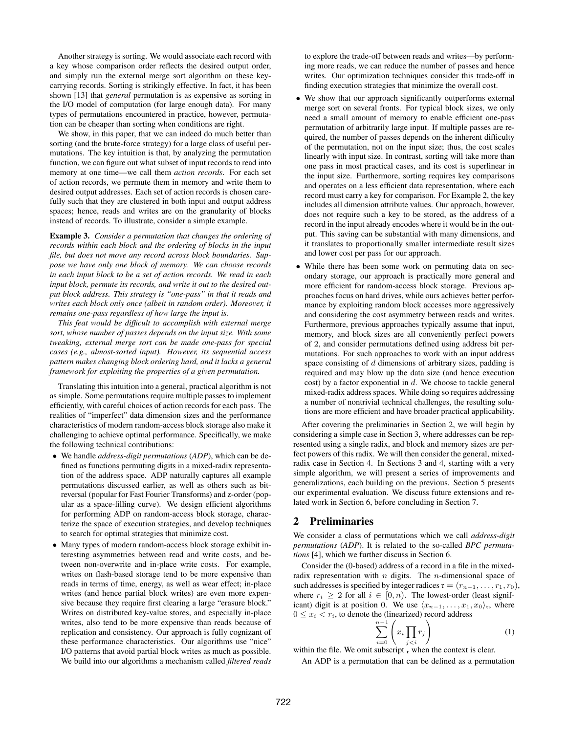Another strategy is sorting. We would associate each record with a key whose comparison order reflects the desired output order, and simply run the external merge sort algorithm on these keycarrying records. Sorting is strikingly effective. In fact, it has been shown [13] that *general* permutation is as expensive as sorting in the I/O model of computation (for large enough data). For many types of permutations encountered in practice, however, permutation can be cheaper than sorting when conditions are right.

We show, in this paper, that we can indeed do much better than sorting (and the brute-force strategy) for a large class of useful permutations. The key intuition is that, by analyzing the permutation function, we can figure out what subset of input records to read into memory at one time—we call them *action records*. For each set of action records, we permute them in memory and write them to desired output addresses. Each set of action records is chosen carefully such that they are clustered in both input and output address spaces; hence, reads and writes are on the granularity of blocks instead of records. To illustrate, consider a simple example.

Example 3. *Consider a permutation that changes the ordering of records within each block and the ordering of blocks in the input file, but does not move any record across block boundaries. Suppose we have only one block of memory. We can choose records in each input block to be a set of action records. We read in each input block, permute its records, and write it out to the desired output block address. This strategy is "one-pass" in that it reads and writes each block only once (albeit in random order). Moreover, it remains one-pass regardless of how large the input is.*

*This feat would be difficult to accomplish with external merge sort, whose number of passes depends on the input size. With some tweaking, external merge sort can be made one-pass for special cases (e.g., almost-sorted input). However, its sequential access pattern makes changing block ordering hard, and it lacks a general framework for exploiting the properties of a given permutation.*

Translating this intuition into a general, practical algorithm is not as simple. Some permutations require multiple passes to implement efficiently, with careful choices of action records for each pass. The realities of "imperfect" data dimension sizes and the performance characteristics of modern random-access block storage also make it challenging to achieve optimal performance. Specifically, we make the following technical contributions:

- We handle *address-digit permutations* (*ADP*), which can be defined as functions permuting digits in a mixed-radix representation of the address space. ADP naturally captures all example permutations discussed earlier, as well as others such as bitreversal (popular for Fast Fourier Transforms) and z-order (popular as a space-filling curve). We design efficient algorithms for performing ADP on random-access block storage, characterize the space of execution strategies, and develop techniques to search for optimal strategies that minimize cost.
- Many types of modern random-access block storage exhibit interesting asymmetries between read and write costs, and between non-overwrite and in-place write costs. For example, writes on flash-based storage tend to be more expensive than reads in terms of time, energy, as well as wear effect; in-place writes (and hence partial block writes) are even more expensive because they require first clearing a large "erasure block." Writes on distributed key-value stores, and especially in-place writes, also tend to be more expensive than reads because of replication and consistency. Our approach is fully cognizant of these performance characteristics. Our algorithms use "nice" I/O patterns that avoid partial block writes as much as possible. We build into our algorithms a mechanism called *filtered reads*

to explore the trade-off between reads and writes—by performing more reads, we can reduce the number of passes and hence writes. Our optimization techniques consider this trade-off in finding execution strategies that minimize the overall cost.

- We show that our approach significantly outperforms external merge sort on several fronts. For typical block sizes, we only need a small amount of memory to enable efficient one-pass permutation of arbitrarily large input. If multiple passes are required, the number of passes depends on the inherent difficulty of the permutation, not on the input size; thus, the cost scales linearly with input size. In contrast, sorting will take more than one pass in most practical cases, and its cost is superlinear in the input size. Furthermore, sorting requires key comparisons and operates on a less efficient data representation, where each record must carry a key for comparison. For Example 2, the key includes all dimension attribute values. Our approach, however, does not require such a key to be stored, as the address of a record in the input already encodes where it would be in the output. This saving can be substantial with many dimensions, and it translates to proportionally smaller intermediate result sizes and lower cost per pass for our approach.
- While there has been some work on permuting data on secondary storage, our approach is practically more general and more efficient for random-access block storage. Previous approaches focus on hard drives, while ours achieves better performance by exploiting random block accesses more aggressively and considering the cost asymmetry between reads and writes. Furthermore, previous approaches typically assume that input, memory, and block sizes are all conveniently perfect powers of 2, and consider permutations defined using address bit permutations. For such approaches to work with an input address space consisting of d dimensions of arbitrary sizes, padding is required and may blow up the data size (and hence execution cost) by a factor exponential in  $d$ . We choose to tackle general mixed-radix address spaces. While doing so requires addressing a number of nontrivial technical challenges, the resulting solutions are more efficient and have broader practical applicability.

After covering the preliminaries in Section 2, we will begin by considering a simple case in Section 3, where addresses can be represented using a single radix, and block and memory sizes are perfect powers of this radix. We will then consider the general, mixedradix case in Section 4. In Sections 3 and 4, starting with a very simple algorithm, we will present a series of improvements and generalizations, each building on the previous. Section 5 presents our experimental evaluation. We discuss future extensions and related work in Section 6, before concluding in Section 7.

## 2 Preliminaries

We consider a class of permutations which we call *address-digit permutations* (*ADP*). It is related to the so-called *BPC permutations* [4], which we further discuss in Section 6.

Consider the (0-based) address of a record in a file in the mixedradix representation with  $n$  digits. The  $n$ -dimensional space of such addresses is specified by integer radices  $\mathfrak{r} = (r_{n-1}, \ldots, r_1, r_0)$ , where  $r_i \geq 2$  for all  $i \in [0, n)$ . The lowest-order (least significant) digit is at position 0. We use  $\langle x_{n-1}, \ldots, x_1, x_0 \rangle_{\mathfrak{r}}$ , where  $0 \leq x_i < r_i$ , to denote the (linearized) record address

$$
\sum_{i=0}^{n-1} \left( x_i \prod_{j
$$

within the file. We omit subscript  $r$  when the context is clear.

An ADP is a permutation that can be defined as a permutation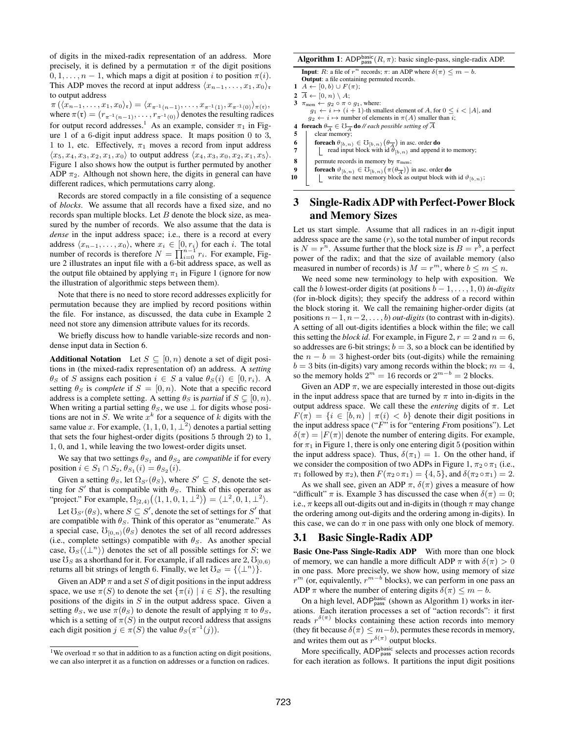of digits in the mixed-radix representation of an address. More precisely, it is defined by a permutation  $\pi$  of the digit positions  $0, 1, \ldots, n-1$ , which maps a digit at position i to position  $\pi(i)$ . This ADP moves the record at input address  $\langle x_{n-1}, \ldots, x_1, x_0 \rangle_{\mathfrak{r}}$ to output address

 $\pi(\langle x_{n-1}, \ldots, x_1, x_0 \rangle_{\mathfrak{r}}) = \langle x_{\pi^{-1}(n-1)}, \ldots, x_{\pi^{-1}(1)}, x_{\pi^{-1}(0)} \rangle_{\pi(\mathfrak{r})},$ where  $\pi(\mathfrak{r}) = (r_{\pi^{-1}(n-1)}, \ldots, r_{\pi^{-1}(0)})$  denotes the resulting radices for output record addresses.<sup>1</sup> As an example, consider  $\pi_1$  in Figure 1 of a 6-digit input address space. It maps position 0 to 3, 1 to 1, etc. Effectively,  $\pi_1$  moves a record from input address  $\langle x_5, x_4, x_3, x_2, x_1, x_0 \rangle$  to output address  $\langle x_4, x_3, x_0, x_2, x_1, x_5 \rangle$ . Figure 1 also shows how the output is further permuted by another ADP  $\pi_2$ . Although not shown here, the digits in general can have different radices, which permutations carry along.

Records are stored compactly in a file consisting of a sequence of *blocks*. We assume that all records have a fixed size, and no records span multiple blocks. Let  $B$  denote the block size, as measured by the number of records. We also assume that the data is *dense* in the input address space; i.e., there is a record at every address  $\langle x_{n-1}, \ldots, x_0 \rangle$ , where  $x_i \in [0, r_i)$  for each i. The total number of records is therefore  $N = \prod_{i=0}^{n-1} r_i$ . For example, Figure 2 illustrates an input file with a 6-bit address space, as well as the output file obtained by applying  $\pi_1$  in Figure 1 (ignore for now the illustration of algorithmic steps between them).

Note that there is no need to store record addresses explicitly for permutation because they are implied by record positions within the file. For instance, as discussed, the data cube in Example 2 need not store any dimension attribute values for its records.

We briefly discuss how to handle variable-size records and nondense input data in Section 6.

**Additional Notation** Let  $S \subseteq [0, n)$  denote a set of digit positions in (the mixed-radix representation of) an address. A *setting*  $\theta_S$  of S assigns each position  $i \in S$  a value  $\theta_S(i) \in [0, r_i)$ . A setting  $\theta_S$  is *complete* if  $S = [0, n)$ . Note that a specific record address is a complete setting. A setting  $\theta_S$  is *partial* if  $S \subseteq [0, n)$ . When writing a partial setting  $\theta_S$ , we use  $\perp$  for digits whose positions are not in  $\tilde{S}$ . We write  $x^k$  for a sequence of  $\tilde{k}$  digits with the same value x. For example,  $\langle 1, 1, 0, 1, \perp^2 \rangle$  denotes a partial setting that sets the four highest-order digits (positions 5 through 2) to 1, 1, 0, and 1, while leaving the two lowest-order digits unset.

We say that two settings  $\theta_{S_1}$  and  $\theta_{S_2}$  are *compatible* if for every position  $i \in S_1 \cap S_2$ ,  $\theta_{S_1}(i) = \theta_{S_2}(i)$ .

Given a setting  $\theta_S$ , let  $\Omega_{S'}(\theta_S)$ , where  $S' \subseteq S$ , denote the setting for S' that is compatible with  $\theta_S$ . Think of this operator as "project." For example,  $\Omega_{[2,4)}(\langle 1,1,0,1,\perp^2 \rangle) = \langle \perp^2,0,1,\perp^2 \rangle$ .

Let  $\mathfrak{V}_{S'}(\theta_S)$ , where  $S \subseteq S'$ , denote the set of settings for  $S'$  that are compatible with  $\theta_S$ . Think of this operator as "enumerate." As a special case,  $\mathcal{O}_{[0,n)}(\theta_S)$  denotes the set of all record addresses (i.e., complete settings) compatible with  $\theta_S$ . As another special case,  $\mathcal{O}_S(\langle \perp^n \rangle)$  denotes the set of all possible settings for S; we use  $\mathcal{O}_S$  as a shorthand for it. For example, if all radices are 2,  $\mathcal{O}_{[0,6)}$ returns all bit strings of length 6. Finally, we let  $\mathcal{O}_{\varnothing} = {\langle \perp^n \rangle }$ .

Given an ADP  $\pi$  and a set S of digit positions in the input address space, we use  $\pi(S)$  to denote the set  $\{\pi(i) \mid i \in S\}$ , the resulting positions of the digits in  $S$  in the output address space. Given a setting  $\theta_S$ , we use  $\pi(\theta_S)$  to denote the result of applying  $\pi$  to  $\theta_S$ , which is a setting of  $\pi(S)$  in the output record address that assigns each digit position  $j \in \pi(S)$  the value  $\theta_S(\pi^{-1}(j))$ .

**Algorithm 1:** ADP<sup>basic</sup>  $(R, \pi)$ : basic single-pass, single-radix ADP.

**Input**: R: a file of  $r^n$  records;  $\pi$ : an ADP where  $\delta(\pi) \leq m - b$ . Output: a file containing permuted records.

```
1 A \leftarrow [0, b) \cup F(\pi);
```

```
2 \overline{A} \leftarrow [0, n) \setminus A;<br>3 \pi_{\text{mem}} \leftarrow q_2 \circ \pi
```

```
3 \pi_{\text{mem}} \leftarrow g_2 \circ \pi \circ g_1, where:<br>
g_1 \leftarrow i \mapsto (i+1)-th smallest element of A, for 0 \leq i < |A|, and
       g_2 \leftarrow i \mapsto number of elements in \pi(A) smaller than i;
```
**4 foreach**  $\theta_{\overline{A}} \in \mho_{\overline{A}}$  **do** // *each possible setting of* A

- 5 | clear memory;
- **6** foreach  $\theta_{[b,n)} \in \mathcal{O}_{[b,n)}(\theta_{\overline{A}})$  in asc. order **do**
- 7 **read input block with id**  $\hat{\theta}_{[b,n)}$  **and append it to memory;**
- 8 permute records in memory by  $\pi_{\text{mem}}$ ;
- **9** foreach  $\vartheta_{[b,n)} \in \mathcal{O}_{[b,n)}(\pi(\theta_{\overline{A}}))$  in asc. order do
- 10 write the next memory block as output block with id  $\vartheta_{[b,n)}$ ;

# 3 Single-Radix ADP with Perfect-Power Block and Memory Sizes

Let us start simple. Assume that all radices in an  $n$ -digit input address space are the same  $(r)$ , so the total number of input records is  $N = r^n$ . Assume further that the block size is  $B = r^b$ , a perfect power of the radix; and that the size of available memory (also measured in number of records) is  $M = r^m$ , where  $b \le m \le n$ .

We need some new terminology to help with exposition. We call the *b* lowest-order digits (at positions  $b - 1, \ldots, 1, 0$ ) *in-digits* (for in-block digits); they specify the address of a record within the block storing it. We call the remaining higher-order digits (at positions  $n-1$ ,  $n-2$ , ..., *b*) *out-digits* (to contrast with in-digits). A setting of all out-digits identifies a block within the file; we call this setting the *block id*. For example, in Figure 2,  $r = 2$  and  $n = 6$ , so addresses are 6-bit strings;  $b = 3$ , so a block can be identified by the  $n - b = 3$  highest-order bits (out-digits) while the remaining  $b = 3$  bits (in-digits) vary among records within the block;  $m = 4$ , so the memory holds  $2^m = 16$  records or  $2^{m-b} = 2$  blocks.

Given an ADP  $\pi$ , we are especially interested in those out-digits in the input address space that are turned by  $\pi$  into in-digits in the output address space. We call these the *entering* digits of  $\pi$ . Let  $F(\pi) = \{i \in [b, n) \mid \pi(i) < b\}$  denote their digit positions in the input address space ("F" is for "entering *F*rom positions"). Let  $\delta(\pi) = |F(\pi)|$  denote the number of entering digits. For example, for  $\pi_1$  in Figure 1, there is only one entering digit 5 (position within the input address space). Thus,  $\delta(\pi_1) = 1$ . On the other hand, if we consider the composition of two ADPs in Figure 1,  $\pi_2 \circ \pi_1$  (i.e.,  $\pi_1$  followed by  $\pi_2$ ), then  $F(\pi_2 \circ \pi_1) = \{4, 5\}$ , and  $\delta(\pi_2 \circ \pi_1) = 2$ .

As we shall see, given an ADP  $\pi$ ,  $\delta(\pi)$  gives a measure of how "difficult"  $\pi$  is. Example 3 has discussed the case when  $\delta(\pi) = 0$ ; i.e.,  $\pi$  keeps all out-digits out and in-digits in (though  $\pi$  may change the ordering among out-digits and the ordering among in-digits). In this case, we can do  $\pi$  in one pass with only one block of memory.

## 3.1 Basic Single-Radix ADP

Basic One-Pass Single-Radix ADP With more than one block of memory, we can handle a more difficult ADP  $\pi$  with  $\delta(\pi) > 0$ in one pass. More precisely, we show how, using memory of size  $r^{m}$  (or, equivalently,  $r^{m-b}$  blocks), we can perform in one pass an ADP  $\pi$  where the number of entering digits  $\delta(\pi) \leq m - b$ .

On a high level,  $ADP<sub>pass</sub><sup>basic</sup>$  (shown as Algorithm 1) works in iterations. Each iteration processes a set of "action records": it first reads  $r^{\delta(\pi)}$  blocks containing these action records into memory (they fit because  $\delta(\pi) \leq m-b$ ), permutes these records in memory, and writes them out as  $r^{\delta(\pi)}$  output blocks.

More specifically, ADP<sup>basic</sup> selects and processes action records for each iteration as follows. It partitions the input digit positions

<sup>&</sup>lt;sup>1</sup>We overload  $\pi$  so that in addition to as a function acting on digit positions, we can also interpret it as a function on addresses or a function on radices.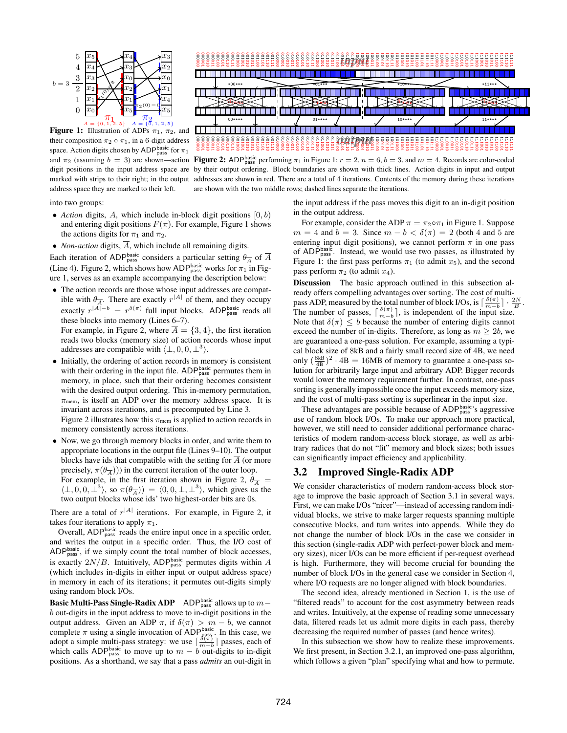

Figure 1: Illustration of ADPs  $\pi_1$ ,  $\pi_2$ , and their composition  $\pi_2 \circ \pi_1$ , in a 6-digit address space. Action digits chosen by ADP<sup>basic</sup> for  $\pi_1$ marked with strips to their right; in the output address space they are marked to their left.



and  $\pi_2$  (assuming  $b = 3$ ) are shown—action **Figure 2:** ADP<sup>basic</sup> performing  $\pi_1$  in Figure 1;  $r = 2$ ,  $n = 6$ ,  $b = 3$ , and  $m = 4$ . Records are color-coded digit positions in the input address space are by their output ordering. Block boundaries are shown with thick lines. Action digits in input and output addresses are shown in red. There are a total of 4 iterations. Contents of the memory during these iterations are shown with the two middle rows; dashed lines separate the iterations.

into two groups:

- *Action* digits,  $A$ , which include in-block digit positions  $[0, b)$ and entering digit positions  $F(\pi)$ . For example, Figure 1 shows the actions digits for  $\pi_1$  and  $\pi_2$ .
- *Non-action* digits,  $\overline{A}$ , which include all remaining digits.

Each iteration of ADP<sup>basic</sup> considers a particular setting  $\theta_{\overline{A}}$  of  $\overline{A}$ (Line 4). Figure 2, which shows how ADP<sup>basic</sup> works for  $\pi_1$  in Figure 1, serves as an example accompanying the description below:

• The action records are those whose input addresses are compatible with  $\theta_{\overline{A}}$ . There are exactly  $r^{|A|}$  of them, and they occupy exactly  $r^{|A|-b} = r^{\delta(\pi)}$  full input blocks. ADP<sub>pass</sub> reads all these blocks into memory (Lines 6–7).

For example, in Figure 2, where  $\overline{A} = \{3, 4\}$ , the first iteration reads two blocks (memory size) of action records whose input addresses are compatible with  $\langle \perp, 0, 0, \perp^3 \rangle$ .

• Initially, the ordering of action records in memory is consistent with their ordering in the input file.  $ADP<sub>pass</sub><sup>basic</sup>$  permutes them in memory, in place, such that their ordering becomes consistent with the desired output ordering. This in-memory permutation,  $\pi_{\text{mem}}$ , is itself an ADP over the memory address space. It is invariant across iterations, and is precomputed by Line 3.

Figure 2 illustrates how this  $\pi_{\text{mem}}$  is applied to action records in memory consistently across iterations.

- Now, we go through memory blocks in order, and write them to appropriate locations in the output file (Lines 9–10). The output blocks have ids that compatible with the setting for  $A$  (or more precisely,  $\pi(\theta_{\overline{A}})$ ) in the current iteration of the outer loop.
	- For example, in the first iteration shown in Figure 2,  $\theta_{\overline{A}} =$  $\langle \perp, 0, 0, \perp^3 \rangle$ , so  $\pi(\theta_{\overline{A}}) = \langle 0, 0, \perp, \perp^3 \rangle$ , which gives us the two output blocks whose ids' two highest-order bits are 0s.

There are a total of  $r^{|A|}$  iterations. For example, in Figure 2, it takes four iterations to apply  $\pi_1$ .

Overall,  $ADP<sub>pass</sub><sup>basic</sup>$  reads the entire input once in a specific order, and writes the output in a specific order. Thus, the I/O cost of  $ADP<sub>pass</sub><sup>basic</sup>$ , if we simply count the total number of block accesses, is exactly  $2N/B$ . Intuitively, ADP<sup>basic</sup> permutes digits within A (which includes in-digits in either input or output address space) in memory in each of its iterations; it permutes out-digits simply using random block I/Os.

**Basic Multi-Pass Single-Radix ADP** ADP<sup>basic</sup> allows up to  $m$ b out-digits in the input address to move to in-digit positions in the output address. Given an ADP  $\pi$ , if  $\delta(\pi) > m - b$ , we cannot complete  $\pi$  using a single invocation of ADP<sub>pass</sub>. In this case, we adopt a simple multi-pass strategy: we use  $\lceil \frac{\delta(\pi)}{m-b} \rceil$  passes, each of which calls ADP<sup>basic</sup> to move up to  $m - b$  out-digits to in-digit positions. As a shorthand, we say that a pass *admits* an out-digit in the input address if the pass moves this digit to an in-digit position in the output address.

For example, consider the ADP  $\pi = \pi_2 \circ \pi_1$  in Figure 1. Suppose  $m = 4$  and  $b = 3$ . Since  $m - b < \delta(\pi) = 2$  (both 4 and 5 are entering input digit positions), we cannot perform  $\pi$  in one pass of ADP<sub>pass</sub>. Instead, we would use two passes, as illustrated by Figure 1: the first pass performs  $\pi_1$  (to admit  $x_5$ ), and the second pass perform  $\pi_2$  (to admit  $x_4$ ).

Discussion The basic approach outlined in this subsection already offers compelling advantages over sorting. The cost of multipass ADP, measured by the total number of block I/Os, is  $\lceil \frac{\delta(\pi)}{m-b} \rceil \cdot \frac{2N}{B}$ The number of passes,  $\lceil \frac{\delta(\pi)}{m-b} \rceil$ , is independent of the input size. Note that  $\delta(\pi) \leq b$  because the number of entering digits cannot exceed the number of in-digits. Therefore, as long as  $m \geq 2b$ , we are guaranteed a one-pass solution. For example, assuming a typical block size of 8kB and a fairly small record size of 4B, we need only  $\left(\frac{8kB}{4B}\right)^2 \cdot 4B = 16MB$  of memory to guarantee a one-pass solution for arbitrarily large input and arbitrary ADP. Bigger records would lower the memory requirement further. In contrast, one-pass sorting is generally impossible once the input exceeds memory size, and the cost of multi-pass sorting is superlinear in the input size.

.

These advantages are possible because of  $ADP<sub>pass</sub><sup>basic</sup>$ 's aggressive use of random block I/Os. To make our approach more practical, however, we still need to consider additional performance characteristics of modern random-access block storage, as well as arbitrary radices that do not "fit" memory and block sizes; both issues can significantly impact efficiency and applicability.

## 3.2 Improved Single-Radix ADP

We consider characteristics of modern random-access block storage to improve the basic approach of Section 3.1 in several ways. First, we can make I/Os "nicer"—instead of accessing random individual blocks, we strive to make larger requests spanning multiple consecutive blocks, and turn writes into appends. While they do not change the number of block I/Os in the case we consider in this section (single-radix ADP with perfect-power block and memory sizes), nicer I/Os can be more efficient if per-request overhead is high. Furthermore, they will become crucial for bounding the number of block I/Os in the general case we consider in Section 4, where I/O requests are no longer aligned with block boundaries.

The second idea, already mentioned in Section 1, is the use of "filtered reads" to account for the cost asymmetry between reads and writes. Intuitively, at the expense of reading some unnecessary data, filtered reads let us admit more digits in each pass, thereby decreasing the required number of passes (and hence writes).

In this subsection we show how to realize these improvements. We first present, in Section 3.2.1, an improved one-pass algorithm, which follows a given "plan" specifying what and how to permute.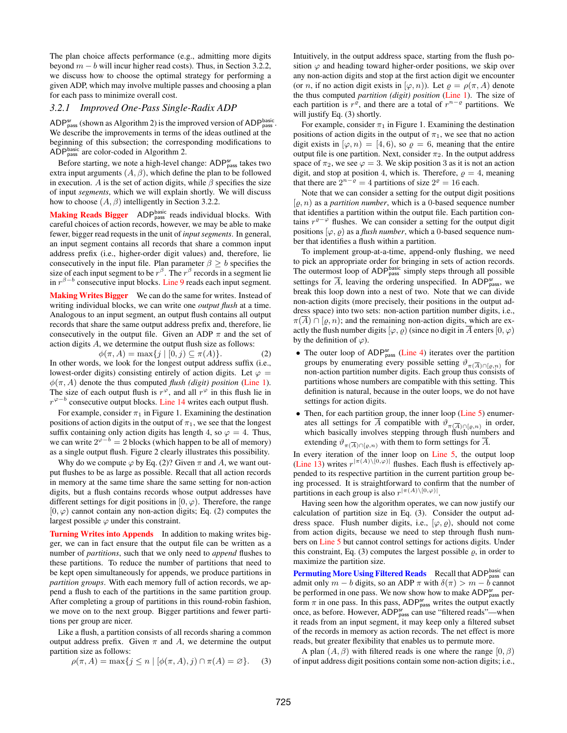The plan choice affects performance (e.g., admitting more digits beyond  $m - b$  will incur higher read costs). Thus, in Section 3.2.2, we discuss how to choose the optimal strategy for performing a given ADP, which may involve multiple passes and choosing a plan for each pass to minimize overall cost.

#### *3.2.1 Improved One-Pass Single-Radix ADP*

ADP<sup>sr</sup><sub>pass</sub> (shown as Algorithm 2) is the improved version of ADP<sup>basic</sup> We describe the improvements in terms of the ideas outlined at the beginning of this subsection; the corresponding modifications to ADP<sup>basic</sup> are color-coded in Algorithm 2.

Before starting, we note a high-level change: ADP<sub>pass</sub> takes two extra input arguments  $(A, \beta)$ , which define the plan to be followed in execution. A is the set of action digits, while  $\beta$  specifies the size of input *segments*, which we will explain shortly. We will discuss how to choose  $(A, \beta)$  intelligently in Section 3.2.2.

Making Reads Bigger ADP<sub>pass</sub> reads individual blocks. With careful choices of action records, however, we may be able to make fewer, bigger read requests in the unit of *input segments*. In general, an input segment contains all records that share a common input address prefix (i.e., higher-order digit values) and, therefore, lie consecutively in the input file. Plan parameter  $\beta \geq b$  specifies the size of each input segment to be  $r^{\beta}$ . The  $r^{\beta}$  records in a segment lie in  $r^{\beta-b}$  consecutive input blocks. Line 9 reads each input segment.

Making Writes Bigger We can do the same for writes. Instead of writing individual blocks, we can write one *output flush* at a time. Analogous to an input segment, an output flush contains all output records that share the same output address prefix and, therefore, lie consecutively in the output file. Given an ADP  $\pi$  and the set of action digits A, we determine the output flush size as follows:

 $\phi(\pi, A) = \max\{j \mid [0, j) \subseteq \pi(A)\}.$  (2) In other words, we look for the longest output address suffix (i.e., lowest-order digits) consisting entirely of action digits. Let  $\varphi =$  $\phi(\pi, A)$  denote the thus computed *flush (digit) position* (Line 1). The size of each output flush is  $r^{\varphi}$ , and all  $r^{\varphi}$  in this flush lie in  $r^{\varphi-b}$  consecutive output blocks. Line 14 writes each output flush.

For example, consider  $\pi_1$  in Figure 1. Examining the destination positions of action digits in the output of  $\pi_1$ , we see that the longest suffix containing only action digits has length 4, so  $\varphi = 4$ . Thus, we can write  $2^{\varphi-b} = 2$  blocks (which happen to be all of memory) as a single output flush. Figure 2 clearly illustrates this possibility.

Why do we compute  $\varphi$  by Eq. (2)? Given  $\pi$  and A, we want output flushes to be as large as possible. Recall that all action records in memory at the same time share the same setting for non-action digits, but a flush contains records whose output addresses have different settings for digit positions in  $[0, \varphi)$ . Therefore, the range  $[0, \varphi)$  cannot contain any non-action digits; Eq. (2) computes the largest possible  $\varphi$  under this constraint.

Turning Writes into Appends In addition to making writes bigger, we can in fact ensure that the output file can be written as a number of *partitions*, such that we only need to *append* flushes to these partitions. To reduce the number of partitions that need to be kept open simultaneously for appends, we produce partitions in *partition groups*. With each memory full of action records, we append a flush to each of the partitions in the same partition group. After completing a group of partitions in this round-robin fashion, we move on to the next group. Bigger partitions and fewer partitions per group are nicer.

Like a flush, a partition consists of all records sharing a common output address prefix. Given  $\pi$  and A, we determine the output partition size as follows:

$$
\rho(\pi, A) = \max\{j \le n \mid [\phi(\pi, A), j) \cap \pi(A) = \varnothing\}.
$$
 (3)

Intuitively, in the output address space, starting from the flush position  $\varphi$  and heading toward higher-order positions, we skip over any non-action digits and stop at the first action digit we encounter (or n, if no action digit exists in  $(\varphi, n)$ ). Let  $\rho = \rho(\pi, A)$  denote the thus computed *partition (digit) position* (Line 1). The size of each partition is  $r^{\varrho}$ , and there are a total of  $r^{n-\varrho}$  partitions. We will justify Eq. (3) shortly.

For example, consider  $\pi_1$  in Figure 1. Examining the destination positions of action digits in the output of  $\pi_1$ , we see that no action digit exists in  $(\varphi, n) = [4, 6)$ , so  $\rho = 6$ , meaning that the entire output file is one partition. Next, consider  $\pi_2$ . In the output address space of  $\pi_2$ , we see  $\varphi = 3$ . We skip position 3 as it is not an action digit, and stop at position 4, which is. Therefore,  $\rho = 4$ , meaning that there are  $2^{n-\varrho} = 4$  partitions of size  $2^{\varrho} = 16$  each.

Note that we can consider a setting for the output digit positions  $[\varrho, n)$  as a *partition number*, which is a 0-based sequence number that identifies a partition within the output file. Each partition contains  $r^{e-\varphi}$  flushes. We can consider a setting for the output digit positions  $(\varphi, \varrho)$  as a *flush number*, which a 0-based sequence number that identifies a flush within a partition.

To implement group-at-a-time, append-only flushing, we need to pick an appropriate order for bringing in sets of action records. The outermost loop of  $ADP<sub>pass</sub><sup>basic</sup>$  simply steps through all possible settings for  $\overline{A}$ , leaving the ordering unspecified. In ADP<sub>pass</sub>, we break this loop down into a nest of two. Note that we can divide non-action digits (more precisely, their positions in the output address space) into two sets: non-action partition number digits, i.e.,  $\pi(\overline{A}) \cap [\varrho, n)$ ; and the remaining non-action digits, which are exactly the flush number digits  $(\varphi, \varrho)$  (since no digit in  $\overline{A}$  enters  $[0, \varphi)$ by the definition of  $\varphi$ ).

- The outer loop of ADP<sup>Sr</sup><sub>pass</sub> (Line 4) iterates over the partition groups by enumerating every possible setting  $\vartheta_{\pi(\overline{A}) \cap [\varrho,n)}$  for non-action partition number digits. Each group thus consists of partitions whose numbers are compatible with this setting. This definition is natural, because in the outer loops, we do not have settings for action digits.
- Then, for each partition group, the inner loop (Line 5) enumerates all settings for A compatible with  $\vartheta_{\pi(\overline{A}) \cap [\varrho,n)}$  in order, which basically involves stepping through flush numbers and extending  $\vartheta_{\pi(\overline{A}) \cap [g,n)}$  with them to form settings for  $\overline{A}$ .

In every iteration of the inner loop on Line 5, the output loop (Line 13) writes  $r^{|\pi(A)\setminus [0,\varphi)|}$  flushes. Each flush is effectively appended to its respective partition in the current partition group being processed. It is straightforward to confirm that the number of partitions in each group is also  $r^{|\pi(A)\setminus[0,\varphi)|}$ .

Having seen how the algorithm operates, we can now justify our calculation of partition size in Eq. (3). Consider the output address space. Flush number digits, i.e.,  $[\varphi, \varrho)$ , should not come from action digits, because we need to step through flush numbers on Line 5 but cannot control settings for actions digits. Under this constraint, Eq. (3) computes the largest possible  $\rho$ , in order to maximize the partition size.

Permuting More Using Filtered Reads Recall that ADP<sup>basic</sup> can admit only  $m - b$  digits, so an ADP  $\pi$  with  $\delta(\pi) > m - b$  cannot be performed in one pass. We now show how to make ADP<sup>sr</sup><sub>pass</sub> perform  $\pi$  in one pass. In this pass, ADP<sub>pass</sub> writes the output exactly once, as before. However, ADP<sup>sr</sup><sub>pass</sub> can use "filtered reads"—when it reads from an input segment, it may keep only a filtered subset of the records in memory as action records. The net effect is more reads, but greater flexibility that enables us to permute more.

A plan  $(A, \beta)$  with filtered reads is one where the range  $[0, \beta)$ of input address digit positions contain some non-action digits; i.e.,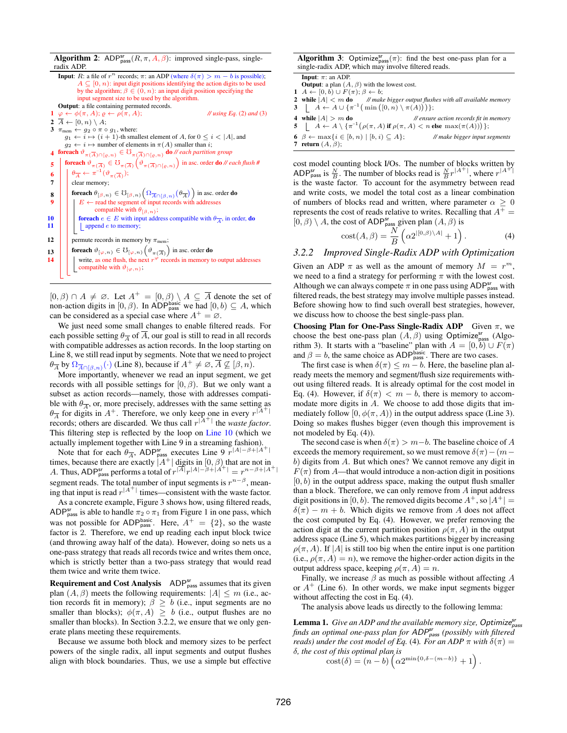**Algorithm 2:** ADP<sup>sr</sup><sub>pass</sub> $(R, \pi, A, \beta)$ : improved single-pass, singleradix ADP. **Input**: R: a file of  $r^n$  records;  $\pi$ : an ADP (where  $\delta(\pi) > m - b$  is possible);  $A \subseteq [0, n)$ : input digit positions identifying the action digits to be used<br>by the algorithm;  $\beta \in (0, n)$ : an input digit position specifying the input segment size to be used by the algorithm. Output: a file containing permuted records. 1  $\varphi \leftarrow \phi(\pi, A); \varrho \leftarrow \rho(\pi, A);$  // *using Eq.* (2) *and* (3) 2  $\overline{A} \leftarrow [0, n) \setminus A;$ 3  $\pi_{\text{mem}} \leftarrow g_2 \circ \pi \circ g_1$ , where:  $g_1 \leftarrow i \mapsto (i+1)$ -th smallest element of A, for  $0 \leq i < |A|$ , and  $g_2 \leftarrow i \mapsto$  number of elements in  $\pi(A)$  smaller than i; **4** foreach  $\vartheta_{\pi(\overline{A}) \cap [\varrho,n)} \in \mho_{\pi(\overline{A}) \cap [\varrho,n)}$  do *// each partition group* **foreach**  $\vartheta_{\pi(\overline{A})} \in \mathcal{O}_{\pi(\overline{A})}(\vartheta_{\pi(\overline{A}) \cap [\varrho,n)})$  in asc. order **do** // *each flush* # 6  $\theta_{\overline{A}} \leftarrow \pi^{-1}(\vartheta_{\pi(\overline{A})});$ 7 clear memory; **8** foreach  $\theta_{[\beta,n)} \in \mathcal{O}_{[\beta,n)}\left(\Omega_{\overline{A}\cap[\beta,n)}(\theta_{\overline{A}})\right)$  in asc. order do 9  $\parallel$   $\parallel$   $E \leftarrow$  read the segment of input records with addresses compatible with  $\theta_{[\beta,n)}$ ; **for 10 for a**  $e \in E$  with input address compatible with  $\theta_{\overline{A}}$ , in order, **do** <br>**for a 11 for a** in append *e* to memory;  $\Box$  append  $e$  to memory; 12 **permute records in memory by**  $\pi_{\text{mem}}$ ; **foreach**  $\vartheta_{[\varphi,n)} \in \mho_{[\varphi,n)}(\vartheta_{\pi(\overline{A})})$  in asc. order **do** 14  $\parallel$   $\parallel$  write, as one flush, the next  $r^{\varphi}$  records in memory to output addresses compatible with  $\vartheta_{[\varphi,n)}$ ;

 $[0, \beta) \cap A \neq \emptyset$ . Let  $A^+ = [0, \beta) \setminus A \subseteq \overline{A}$  denote the set of non-action digits in [0,  $\beta$ ). In ADP<sup>basic</sup> we had  $[0, b) \subseteq A$ , which can be considered as a special case where  $A^+ = \emptyset$ .

We just need some small changes to enable filtered reads. For each possible setting  $\theta_{\overline{A}}$  of  $\overline{A}$ , our goal is still to read in all records with compatible addresses as action records. In the loop starting on Line 8, we still read input by segments. Note that we need to project  $\theta_{\overline{A}}$  by  $\Omega_{\overline{A}\cap(\beta,n)}(\cdot)$  (Line 8), because if  $A^+\neq\emptyset$ ,  $\overline{A}\not\subseteq[\beta,n)$ .

More importantly, whenever we read an input segment, we get records with all possible settings for  $[0, \beta)$ . But we only want a subset as action records—namely, those with addresses compatible with  $\theta_{\overline{A}}$ , or, more precisely, addresses with the same setting as  $\theta_{\overline{A}}$  for digits in  $A^+$ . Therefore, we only keep one in every  $r^{\vert A^+ \vert}$ records; others are discarded. We thus call  $r^{\vert A^+\vert}$  the *waste factor*. This filtering step is reflected by the loop on Line 10 (which we actually implement together with Line 9 in a streaming fashion).

Note that for each  $\theta_{\overline{A}}$ , ADP<sub>pass</sub> executes Line 9  $r^{|A|-\beta+|\overline{A}|}$ times, because there are exactly  $|A^+|$  digits in  $[0, \beta)$  that are not in A. Thus, ADP<sup>sr</sup> performs a total of  $r^{\vert \overline{A} \vert} r^{\vert A \vert - \beta + \vert A^{+} \vert} = r^{n-\beta + \vert A^{+} \vert}$ segment reads. The total number of input segments is  $r^{n-\beta}$ , meaning that input is read  $r^{|A^+|}$  times—consistent with the waste factor.

As a concrete example, Figure 3 shows how, using filtered reads, ADP<sup>sr</sup><sub>pass</sub> is able to handle  $\pi_2 \circ \pi_1$  from Figure 1 in one pass, which was not possible for ADP<sub>pass</sub>. Here,  $A^+ = \{2\}$ , so the waste factor is 2. Therefore, we end up reading each input block twice (and throwing away half of the data). However, doing so nets us a one-pass strategy that reads all records twice and writes them once, which is strictly better than a two-pass strategy that would read them twice and write them twice.

**Requirement and Cost Analysis**  $ADP<sub>pass</sub><sup>sr</sup>$  assumes that its given plan  $(A, \beta)$  meets the following requirements:  $|A| \leq m$  (i.e., action records fit in memory);  $\beta \geq b$  (i.e., input segments are no smaller than blocks);  $\phi(\pi, A) \geq b$  (i.e., output flushes are no smaller than blocks). In Section 3.2.2, we ensure that we only generate plans meeting these requirements.

Because we assume both block and memory sizes to be perfect powers of the single radix, all input segments and output flushes align with block boundaries. Thus, we use a simple but effective

| <b>Algorithm 3:</b> Optimize <sub>pass</sub> $(\pi)$ : find the best one-pass plan for a |  |  |  |
|------------------------------------------------------------------------------------------|--|--|--|
| single-radix ADP, which may involve filtered reads.                                      |  |  |  |

**Input:**  $\pi$ : an ADP. **Output:** a plan  $(A, \beta)$  with the lowest cost.

- 1  $A \leftarrow [0, b) \cup F(\pi); \beta \leftarrow b;$ <br>2 while  $|A| < m$  do //mak // make bigger output flushes with all available memory 3 |  $A \leftarrow A \cup \{\pi^{-1}(\min ([0, n) \setminus \pi(A)) )\};$
- 4 while |A| > m do *// ensure action records fit in memory*
- 5  $A \leftarrow A \setminus {\pi^{-1}(\rho(\pi, A) \text{ if } \rho(\pi, A) < n \text{ else } \max(\pi(A))) }$
- 6  $\beta \leftarrow \max\{i \in [b, n) \mid [b, i) \subseteq A\};$  // *make bigger input segments* 7 return  $(A, \beta)$ ;

cost model counting block I/Os. The number of blocks written by ADP<sup>Sr</sup><sub>pass</sub> is  $\frac{N}{B}$ . The number of blocks read is  $\frac{N}{B}r^{|A^+|}$ , where  $r^{|A^+|}$ is the waste factor. To account for the asymmetry between read and write costs, we model the total cost as a linear combination of numbers of blocks read and written, where parameter  $\alpha \geq 0$ represents the cost of reads relative to writes. Recalling that  $A^+=$  $[0, \beta) \setminus A$ , the cost of ADP<sub>pass</sub> given plan  $(A, \beta)$  is

$$
cost(A, \beta) = \frac{N}{B} \left( \alpha 2^{|[0, \beta) \setminus A|} + 1 \right).
$$
 (4)

#### *3.2.2 Improved Single-Radix ADP with Optimization*

Given an ADP  $\pi$  as well as the amount of memory  $M = r^m$ , we need to a find a strategy for performing  $\pi$  with the lowest cost. Although we can always compete  $\pi$  in one pass using ADP<sup>sr</sup><sub>pass</sub> with filtered reads, the best strategy may involve multiple passes instead. Before showing how to find such overall best strategies, however, we discuss how to choose the best single-pass plan.

Choosing Plan for One-Pass Single-Radix ADP Given  $\pi$ , we choose the best one-pass plan  $(A, \beta)$  using Optimize<sup>sr</sup><sub>pass</sub> (Algorithm 3). It starts with a "baseline" plan with  $A = [0, b] \cup F(\pi)$ and  $\beta = b$ , the same choice as ADP<sup>basic</sup>. There are two cases.

The first case is when  $\delta(\pi) \leq m - b$ . Here, the baseline plan already meets the memory and segment/flush size requirements without using filtered reads. It is already optimal for the cost model in Eq. (4). However, if  $\delta(\pi) < m - b$ , there is memory to accommodate more digits in  $\overline{A}$ . We choose to add those digits that immediately follow  $[0, \phi(\pi, A))$  in the output address space (Line 3). Doing so makes flushes bigger (even though this improvement is not modeled by Eq. (4)).

The second case is when  $\delta(\pi) > m-b$ . The baseline choice of A exceeds the memory requirement, so we must remove  $\delta(\pi)-(m$ b) digits from A. But which ones? We cannot remove any digit in  $F(\pi)$  from A—that would introduce a non-action digit in positions  $[0, b)$  in the output address space, making the output flush smaller than a block. Therefore, we can only remove from A input address digit positions in [0, b). The removed digits become  $A^+$ , so  $|A^+|$  =  $\delta(\pi) - m + b$ . Which digits we remove from A does not affect the cost computed by Eq. (4). However, we prefer removing the action digit at the current partition position  $\rho(\pi, A)$  in the output address space (Line 5), which makes partitions bigger by increasing  $\rho(\pi, A)$ . If |A| is still too big when the entire input is one partition (i.e.,  $\rho(\pi, A) = n$ ), we remove the higher-order action digits in the output address space, keeping  $\rho(\pi, A) = n$ .

Finally, we increase  $\beta$  as much as possible without affecting  $A$ or  $A^+$  (Line 6). In other words, we make input segments bigger without affecting the cost in Eq. (4).

The analysis above leads us directly to the following lemma:

Lemma 1. *Give an ADP and the available memory size*, Optimize $_{\text{pass}}^{\text{sr}}$ *finds an optimal one-pass plan for* ADPsr pass *(possibly with filtered reads)* under the cost model of Eq. (4). For an ADP  $\pi$  with  $\delta(\pi)$  = δ*, the cost of this optimal plan is*

 $\cot(\delta) = (n-b) \left( \alpha 2^{\min\{0, \delta - (m-b)\}} + 1 \right).$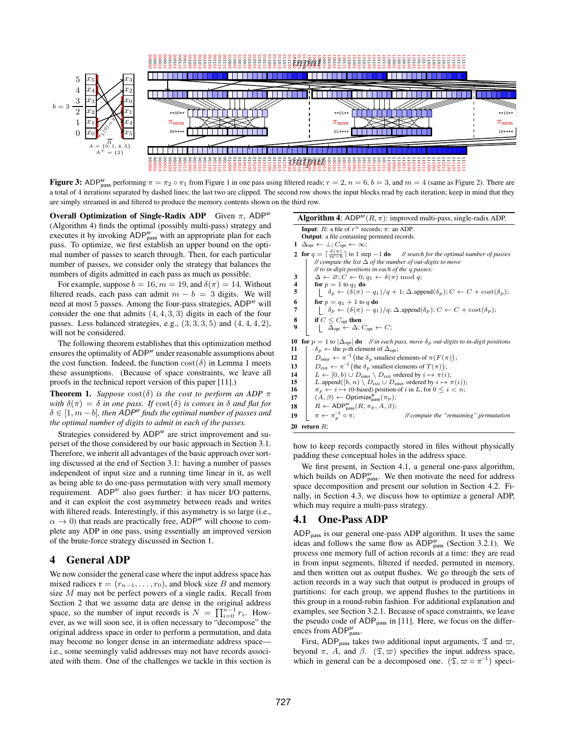

**Figure 3:** ADP<sup>Sr</sup><sub>pass</sub> performing  $\pi = \pi_2 \circ \pi_1$  from Figure 1 in one pass using filtered reads;  $r = 2$ ,  $n = 6$ ,  $b = 3$ , and  $m = 4$  (same as Figure 2). There are a total of 4 iterations separated by dashed lines; the last two are clipped. The second row shows the input blocks read by each iteration; keep in mind that they are simply streamed in and filtered to produce the memory contents shown on the third row.

Overall Optimization of Single-Radix ADP Given  $\pi$ , ADP<sup>sr</sup> (Algorithm 4) finds the optimal (possibly multi-pass) strategy and executes it by invoking ADP<sup>sr</sup><sub>pass</sub> with an appropriate plan for each pass. To optimize, we first establish an upper bound on the optimal number of passes to search through. Then, for each particular number of passes, we consider only the strategy that balances the numbers of digits admitted in each pass as much as possible.

For example, suppose  $b = 16$ ,  $m = 19$ , and  $\delta(\pi) = 14$ . Without filtered reads, each pass can admit  $m - b = 3$  digits. We will need at most 5 passes. Among the four-pass strategies, ADP<sup>sr</sup> will consider the one that admits  $(4, 4, 3, 3)$  digits in each of the four passes. Less balanced strategies, e.g.,  $(3, 3, 3, 5)$  and  $(4, 4, 4, 2)$ , will not be considered.

The following theorem establishes that this optimization method ensures the optimality of ADP<sup>sr</sup> under reasonable assumptions about the cost function. Indeed, the function  $\text{cost}(\delta)$  in Lemma 1 meets these assumptions. (Because of space constraints, we leave all proofs in the technical report version of this paper [11].)

**Theorem 1.** *Suppose*  $\text{cost}(\delta)$  *is the cost to perform an ADP*  $\pi$ *with*  $\delta(\pi) = \delta$  *in one pass. If*  $\cosh(\delta)$  *is convex in*  $\delta$  *and flat for*  $\delta \in [1, m - b]$ , then ADP<sup>sr</sup> finds the optimal number of passes and *the optimal number of digits to admit in each of the passes.*

Strategies considered by ADP<sup>sr</sup> are strict improvement and superset of the those considered by our basic approach in Section 3.1. Therefore, we inherit all advantages of the basic approach over sorting discussed at the end of Section 3.1: having a number of passes independent of input size and a running time linear in it, as well as being able to do one-pass permutation with very small memory requirement. ADP<sup>sr</sup> also goes further: it has nicer I/O patterns, and it can exploit the cost asymmetry between reads and writes with filtered reads. Interestingly, if this asymmetry is so large (i.e.,  $\alpha \rightarrow 0$ ) that reads are practically free, ADP<sup>sr</sup> will choose to complete any ADP in one pass, using essentially an improved version of the brute-force strategy discussed in Section 1.

## 4 General ADP

We now consider the general case where the input address space has mixed radices  $\mathfrak{r} = (r_{n-1}, \ldots, r_0)$ , and block size B and memory size M may not be perfect powers of a single radix. Recall from Section 2 that we assume data are dense in the original address space, so the number of input records is  $N = \prod_{i=0}^{n-1} r_i$ . However, as we will soon see, it is often necessary to "decompose" the original address space in order to perform a permutation, and data may become no longer dense in an intermediate address space i.e., some seemingly valid addresses may not have records associated with them. One of the challenges we tackle in this section is

| <b>Algorithm 4:</b> ADP <sup>sr</sup> $(R, \pi)$ : improved multi-pass, single-radix ADP.                                                                           |  |  |  |  |
|---------------------------------------------------------------------------------------------------------------------------------------------------------------------|--|--|--|--|
| <b>Input:</b> R: a file of $r^n$ records; $\pi$ : an ADP.                                                                                                           |  |  |  |  |
| <b>Output:</b> a file containing permuted records.                                                                                                                  |  |  |  |  |
| $\Delta_{\text{opt}} \leftarrow \perp; C_{\text{opt}} \leftarrow \infty;$                                                                                           |  |  |  |  |
| <b>2</b> for $q = \lceil \frac{\delta(\pi)}{m - h} \rceil$ to 1 step $-1$ do // search for the optimal number of passes                                             |  |  |  |  |
| // compute the list $\Delta$ of the number of out-digits to move                                                                                                    |  |  |  |  |
| // to in-digit positions in each of the q passes:                                                                                                                   |  |  |  |  |
| $\Delta \leftarrow \varnothing$ ; $C \leftarrow 0$ ; $q_1 \leftarrow \delta(\pi) \bmod q$ ;                                                                         |  |  |  |  |
| for $p = 1$ to $q_1$ do                                                                                                                                             |  |  |  |  |
| $\left[\begin{array}{l} \delta_p \leftarrow (\delta(\pi) - q_1)/q + 1; \Delta \text{.append}(\delta_p); C \leftarrow C + \text{cost}(\delta_p); \end{array}\right]$ |  |  |  |  |
| for $p = q_1 + 1$ to q do                                                                                                                                           |  |  |  |  |
| $\phi_n \leftarrow (\delta(\pi) - q_1)/q$ ; $\Delta$ append $(\delta_p)$ ; $C \leftarrow C + \text{cost}(\delta_p)$ ;                                               |  |  |  |  |
| if $C \leq C_{\rm opt}$ then                                                                                                                                        |  |  |  |  |
| $\Delta_{\text{opt}} \leftarrow \Delta; C_{\text{opt}} \leftarrow C;$                                                                                               |  |  |  |  |
| <b>for</b> $p = 1$ to $ \Delta_{\text{opt}} $ <b>do</b> // in each pass, move $\delta_p$ out-digits to in-digit positions                                           |  |  |  |  |
| $\delta_p \leftarrow$ the p-th element of $\Delta_{\text{opt}}$ ;                                                                                                   |  |  |  |  |
| $D_{\text{enter}} \leftarrow \pi^{-1}$ (the $\delta_p$ smallest elements of $\pi(F(\pi))$ );                                                                        |  |  |  |  |
| $D_{\text{exit}} \leftarrow \pi^{-1}$ (the $\delta_p$ smallest elements of $T(\pi)$ );                                                                              |  |  |  |  |
| $L \leftarrow [0, b) \cup D_{\text{enter}} \setminus D_{\text{exit}}$ ordered by $i \mapsto \pi(i)$ ;                                                               |  |  |  |  |
| L.append([b, n) \ $D_{\text{exit}} \cup D_{\text{enter}}$ ordered by $i \mapsto \pi(i)$ );                                                                          |  |  |  |  |
| $\pi_p \leftarrow i \mapsto$ (0-based) position of i in L, for $0 \leq i \leq n$ ;                                                                                  |  |  |  |  |
| $(A, \beta) \leftarrow$ Optimize <sub>pass</sub> $(\pi_p)$ ;                                                                                                        |  |  |  |  |
| $R \leftarrow \text{ADP}_{\text{pass}}^{sr}(R, \pi_p, A, \beta);$                                                                                                   |  |  |  |  |
| $\pi \leftarrow \pi_n^{-1} \circ \pi;$<br>// compute the "remaining" permutation                                                                                    |  |  |  |  |
|                                                                                                                                                                     |  |  |  |  |

how to keep records compactly stored in files without physically padding these conceptual holes in the address space.

We first present, in Section 4.1, a general one-pass algorithm, which builds on  $ADP_{pass}^{sr}$ . We then motivate the need for address space decomposition and present our solution in Section 4.2. Finally, in Section 4.3, we discuss how to optimize a general ADP, which may require a multi-pass strategy.

## 4.1 One-Pass ADP

20 return  $R$ ;

ADPpass is our general one-pass ADP algorithm. It uses the same ideas and follows the same flow as  $ADP<sub>pass</sub><sup>sr</sup>$  (Section 3.2.1). We process one memory full of action records at a time: they are read in from input segments, filtered if needed, permuted in memory, and then written out as output flushes. We go through the sets of action records in a way such that output is produced in groups of partitions: for each group, we append flushes to the partitions in this group in a round-robin fashion. For additional explanation and examples, see Section 3.2.1. Because of space constraints, we leave the pseudo code of  $ADP<sub>pass</sub>$  in [11]. Here, we focus on the differences from ADP<sub>pass</sub>.

First, ADP<sub>pass</sub> takes two additional input arguments,  $\mathfrak T$  and  $\varpi$ , beyond  $\pi$ , A, and  $\beta$ .  $(\mathfrak{T}, \varpi)$  specifies the input address space, which in general can be a decomposed one.  $(\mathfrak{T}, \varpi \circ \pi^{-1})$  speci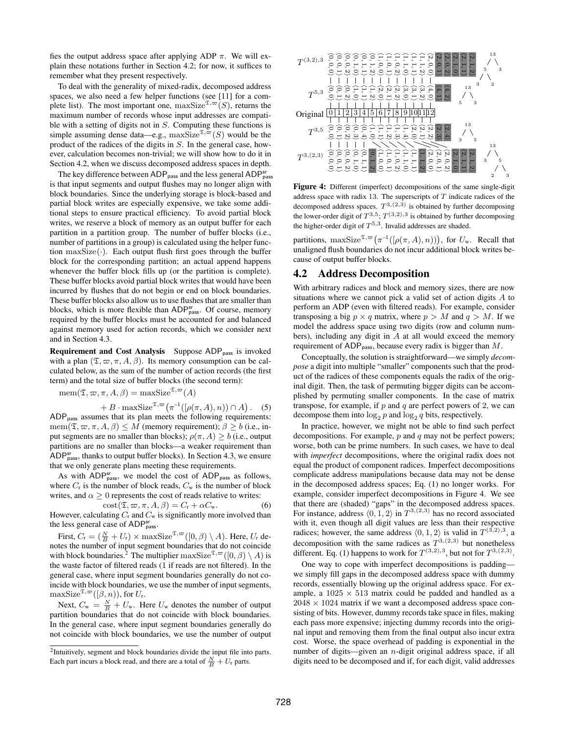fies the output address space after applying ADP  $\pi$ . We will explain these notations further in Section 4.2; for now, it suffices to remember what they present respectively.

To deal with the generality of mixed-radix, decomposed address spaces, we also need a few helper functions (see [11] for a complete list). The most important one,  $maxSize^{\mathfrak{T}, \varpi}(S)$ , returns the maximum number of records whose input addresses are compatible with a setting of digits not in S. Computing these functions is simple assuming dense data—e.g.,  $maxSize^{\mathfrak{T}, \varpi}(S)$  would be the product of the radices of the digits in S. In the general case, however, calculation becomes non-trivial; we will show how to do it in Section 4.2, when we discuss decomposed address spaces in depth.

The key difference between ADP<sub>pass</sub> and the less general ADP<sup>sr</sup><sub>pass</sub> is that input segments and output flushes may no longer align with block boundaries. Since the underlying storage is block-based and partial block writes are especially expensive, we take some additional steps to ensure practical efficiency. To avoid partial block writes, we reserve a block of memory as an output buffer for each partition in a partition group. The number of buffer blocks (i.e., number of partitions in a group) is calculated using the helper function  $maxSize(\cdot)$ . Each output flush first goes through the buffer block for the corresponding partition; an actual append happens whenever the buffer block fills up (or the partition is complete). These buffer blocks avoid partial block writes that would have been incurred by flushes that do not begin or end on block boundaries. These buffer blocks also allow us to use flushes that are smaller than blocks, which is more flexible than  $ADP<sub>pass</sub><sup>sr</sup>$ . Of course, memory required by the buffer blocks must be accounted for and balanced against memory used for action records, which we consider next and in Section 4.3.

Requirement and Cost Analysis Suppose ADP<sub>pass</sub> is invoked with a plan  $(\mathfrak{T}, \varpi, \pi, A, \beta)$ . Its memory consumption can be calculated below, as the sum of the number of action records (the first term) and the total size of buffer blocks (the second term):

$$
\text{mem}(\mathfrak{T}, \varpi, \pi, A, \beta) = \text{maxSize}^{\mathfrak{T}, \varpi}(A)
$$

 $+ B \cdot \max \text{Size}^{\mathfrak{T},\infty}(\pi^{-1}([\rho(\pi, A), n)) \cap A).$  (5) ADP<sub>pass</sub> assumes that its plan meets the following requirements: mem $(\mathfrak{T}, \varpi, \pi, A, \beta) \leq M$  (memory requirement);  $\beta \geq b$  (i.e., input segments are no smaller than blocks);  $\rho(\pi, A) \ge b$  (i.e., output partitions are no smaller than blocks—a weaker requirement than ADP $_{\text{pass}}^{\text{sr}}$ , thanks to output buffer blocks). In Section 4.3, we ensure that we only generate plans meeting these requirements.

As with  $ADP_{pass}^{sr}$ , we model the cost of  $ADP_{pass}$  as follows, where  $C_r$  is the number of block reads,  $C_w$  is the number of block writes, and  $\alpha \geq 0$  represents the cost of reads relative to writes:

 $\text{cost}(\mathfrak{T}, \varpi, \pi, A, \beta) = C_{\text{r}} + \alpha C_{\text{w}}.$  (6) However, calculating  $C_r$  and  $C_w$  is significantly more involved than the less general case of ADP<sub>pass</sub>.

First,  $C_{\rm r} = (\frac{N}{B} + U_{\rm r}) \times {\rm maxSize}^{\mathfrak{T}, \varpi}([0, \beta) \setminus A)$ . Here,  $U_{\rm r}$  denotes the number of input segment boundaries that do not coincide with block boundaries.<sup>2</sup> The multiplier maxSize<sup> $\mathfrak{T}, \infty$ </sup> $([0, \beta) \setminus A)$  is the waste factor of filtered reads (1 if reads are not filtered). In the general case, where input segment boundaries generally do not coincide with block boundaries, we use the number of input segments,  $\max$ Size<sup> $\mathfrak{T}, \infty$ </sup>([ $\beta, n$ )), for  $U_r$ .

Next,  $C_{\rm w} = \frac{N}{B} + U_{\rm w}$ . Here  $U_{\rm w}$  denotes the number of output partition boundaries that do not coincide with block boundaries. In the general case, where input segment boundaries generally do not coincide with block boundaries, we use the number of output



Figure 4: Different (imperfect) decompositions of the same single-digit address space with radix 13. The superscripts of  $T$  indicate radices of the decomposed address spaces.  $T^{3,(2,3)}$  is obtained by further decomposing the lower-order digit of  $T^{3,5}$ ;  $T^{(3,2),3}$  is obtained by further decomposing the higher-order digit of  $T^{5,3}$ . Invalid addresses are shaded.

partitions,  $\max \text{Size}^{\mathfrak{T}, \varpi}\big(\pi^{-1}([\rho(\pi, A), n))\big)$ , for  $U_w$ . Recall that unaligned flush boundaries do not incur additional block writes because of output buffer blocks.

## 4.2 Address Decomposition

With arbitrary radices and block and memory sizes, there are now situations where we cannot pick a valid set of action digits A to perform an ADP (even with filtered reads). For example, consider transposing a big  $p \times q$  matrix, where  $p > M$  and  $q > M$ . If we model the address space using two digits (row and column numbers), including any digit in  $A$  at all would exceed the memory requirement of  $ADP_{pass}$ , because every radix is bigger than  $M$ .

Conceptually, the solution is straightforward—we simply *decompose* a digit into multiple "smaller" components such that the product of the radices of these components equals the radix of the original digit. Then, the task of permuting bigger digits can be accomplished by permuting smaller components. In the case of matrix transpose, for example, if  $p$  and  $q$  are perfect powers of 2, we can decompose them into  $\log_2 p$  and  $\log_2 q$  bits, respectively.

In practice, however, we might not be able to find such perfect decompositions. For example,  $p$  and  $q$  may not be perfect powers; worse, both can be prime numbers. In such cases, we have to deal with *imperfect* decompositions, where the original radix does not equal the product of component radices. Imperfect decompositions complicate address manipulations because data may not be dense in the decomposed address spaces; Eq. (1) no longer works. For example, consider imperfect decompositions in Figure 4. We see that there are (shaded) "gaps" in the decomposed address spaces. For instance, address  $(0, 1, 2)$  in  $T^{3,(2,3)}$  has no record associated with it, even though all digit values are less than their respective radices; however, the same address  $(0, 1, 2)$  is valid in  $T^{(\bar{3}, 2), 3}$ , a decomposition with the same radices as  $T^{3,(2,3)}$  but nonetheless different. Eq. (1) happens to work for  $T^{(3,2),3}$ , but not for  $T^{3,(2,3)}$ .

One way to cope with imperfect decompositions is padding we simply fill gaps in the decomposed address space with dummy records, essentially blowing up the original address space. For example, a  $1025 \times 513$  matrix could be padded and handled as a  $2048 \times 1024$  matrix if we want a decomposed address space consisting of bits. However, dummy records take space in files, making each pass more expensive; injecting dummy records into the original input and removing them from the final output also incur extra cost. Worse, the space overhead of padding is exponential in the number of digits—given an *n*-digit original address space, if all digits need to be decomposed and if, for each digit, valid addresses

<sup>&</sup>lt;sup>2</sup>Intuitively, segment and block boundaries divide the input file into parts. Each part incurs a block read, and there are a total of  $\frac{N}{B} + U_r$  parts.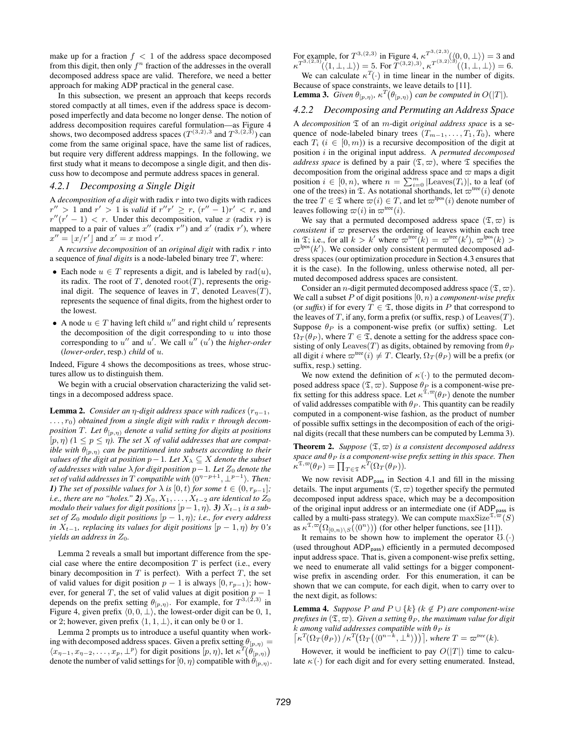make up for a fraction  $f < 1$  of the address space decomposed from this digit, then only  $f^n$  fraction of the addresses in the overall decomposed address space are valid. Therefore, we need a better approach for making ADP practical in the general case.

In this subsection, we present an approach that keeps records stored compactly at all times, even if the address space is decomposed imperfectly and data become no longer dense. The notion of address decomposition requires careful formulation—as Figure 4 shows, two decomposed address spaces  $(T^{(3,2),3}$  and  $T^{3,(2,3)})$  can come from the same original space, have the same list of radices, but require very different address mappings. In the following, we first study what it means to decompose a single digit, and then discuss how to decompose and permute address spaces in general.

## *4.2.1 Decomposing a Single Digit*

A *decomposition of a digit* with radix r into two digits with radices  $r'' > 1$  and  $r' > 1$  is *valid* if  $r''r' \ge r$ ,  $(r'' - 1)r' < r$ , and  $r''(r'-1) < r$ . Under this decomposition, value x (radix r) is mapped to a pair of values  $x''$  (radix  $r''$ ) and  $x'$  (radix  $r'$ ), where  $x'' = \lfloor x/r' \rfloor$  and  $x' = x \bmod r'$ .

A *recursive decomposition* of an *original digit* with radix r into a sequence of *final digits* is a node-labeled binary tree T, where:

- Each node  $u \in T$  represents a digit, and is labeled by  $rad(u)$ , its radix. The root of T, denoted  $root(T)$ , represents the original digit. The sequence of leaves in  $T$ , denoted Leaves $(T)$ , represents the sequence of final digits, from the highest order to the lowest.
- A node  $u \in T$  having left child  $u''$  and right child  $u'$  represents the decomposition of the digit corresponding to  $u$  into those corresponding to  $u''$  and  $u'$ . We call  $u''(u')$  the *higher-order* (*lower-order*, resp.) *child* of u.

Indeed, Figure 4 shows the decompositions as trees, whose structures allow us to distinguish them.

We begin with a crucial observation characterizing the valid settings in a decomposed address space.

**Lemma 2.** *Consider an*  $\eta$ -digit address space with radices  $(r_{\eta-1},$ . . . , r0) *obtained from a single digit with radix* r *through decomposition* T. Let  $\theta_{[p,\eta)}$  *denote a valid setting for digits at positions*  $[p, \eta)$  ( $1 \leq p \leq \eta$ ). The set X of valid addresses that are compat*ible with*  $\theta_{[p,\eta)}$  *can be partitioned into subsets according to their values of the digit at position*  $p-1$ *. Let*  $X_\lambda \subseteq X$  *denote the subset of addresses with value*  $λ$  *for digit position*  $p-1$ *. Let*  $Z_0$  *denote the set of valid addresses in*  $\overline{T}$  *compatible with*  $\langle 0^{n-p+1}, \perp^{p-1} \rangle$ *. Then: 1) The set of possible values for*  $\lambda$  *is*  $[0, t)$  *for some*  $t \in (0, r_{p-1}]$ *; i.e., there are no "holes."* 2)  $X_0, X_1, \ldots, X_{t-2}$  *are identical to*  $Z_0$ *modulo their values for digit positions*  $[p-1, \eta)$ . *3)*  $X_{t-1}$  *is a subset of*  $Z_0$  *modulo digit positions*  $[p-1,\eta)$ *; i.e., for every address in*  $X_{t-1}$ *, replacing its values for digit positions*  $[p-1,\eta)$  *by* 0*'s yields an address in*  $Z_0$ *.* 

Lemma 2 reveals a small but important difference from the special case where the entire decomposition  $T$  is perfect (i.e., every binary decomposition in  $T$  is perfect). With a perfect  $T$ , the set of valid values for digit position  $p - 1$  is always  $[0, r_{p-1})$ ; however, for general T, the set of valid values at digit position  $p - 1$ depends on the prefix setting  $\theta_{[p,\eta)}$ . For example, for  $T^{3,(2,3)}$  in Figure 4, given prefix  $\langle 0, 0, \perp \rangle$ , the lowest-order digit can be 0, 1, or 2; however, given prefix  $\langle 1, 1, \perp \rangle$ , it can only be 0 or 1.

Lemma 2 prompts us to introduce a useful quantity when working with decomposed address spaces. Given a prefix setting  $\theta_{[p,\eta)} =$  $\langle x_{\eta-1}, x_{\eta-2}, \ldots, x_p, \perp^p \rangle$  for digit positions  $[p, \eta)$ , let  $\kappa^T(\hat{\theta}_{[p,\eta)})$ denote the number of valid settings for  $[0, \eta)$  compatible with  $\theta_{[p,\eta)}$ .

For example, for  $T^{3,(2,3)}$  in Figure 4,  $\kappa^{T^{3,(2,3)}}(\langle 0,0,\perp \rangle) = 3$  and  $\kappa^{T^{3,(2,3)}(\{1,\perp,\perp\})}=5.$  For  $T^{(3,2),3)}$ ,  $\kappa^{T^{(3,2),3)}(\{1,\perp,\perp\})}=6.$ 

We can calculate  $\kappa^T(\cdot)$  in time linear in the number of digits. Because of space constraints, we leave details to [11].

**Lemma 3.** *Given*  $\theta_{[p,\eta)}$ ,  $\kappa^{T}(\theta_{[p,\eta)})$  *can be computed in*  $O(|T|)$ *.* 

## *4.2.2 Decomposing and Permuting an Address Space*

A *decomposition* T of an m-digit *original address space* is a sequence of node-labeled binary trees  $(T_{m-1}, \ldots, T_1, T_0)$ , where each  $T_i$  ( $i \in [0, m)$ ) is a recursive decomposition of the digit at position i in the original input address. A *permuted decomposed address space* is defined by a pair  $(\mathfrak{T}, \varpi)$ , where  $\mathfrak{T}$  specifies the decomposition from the original address space and  $\varpi$  maps a digit position  $i \in [0, n)$ , where  $n = \sum_{i=0}^{m} |\text{Leaves}(T_i)|$ , to a leaf (of one of the trees) in  $\mathfrak T$ . As notational shorthands, let  $\varpi^{\text{tree}}(i)$  denote the tree  $T \in \mathfrak{T}$  where  $\varpi(i) \in T$ , and let  $\varpi^{\text{pos}}(i)$  denote number of leaves following  $\varpi(i)$  in  $\varpi^{\text{tree}}(i)$ .

We say that a permuted decomposed address space  $(\mathfrak{T}, \varpi)$  is *consistent* if  $\varpi$  preserves the ordering of leaves within each tree in  $\mathfrak{T}$ ; i.e., for all  $k > k'$  where  $\varpi^{\text{tree}}(k) = \varpi^{\text{tree}}(k'), \varpi^{\text{lpos}}(k) >$  $\varpi^{lpos}(k')$ . We consider only consistent permuted decomposed address spaces (our optimization procedure in Section 4.3 ensures that it is the case). In the following, unless otherwise noted, all permuted decomposed address spaces are consistent.

Consider an *n*-digit permuted decomposed address space  $(\mathfrak{T}, \varpi)$ . We call a subset P of digit positions [0, n) a *component-wise prefix* (or *suffix*) if for every  $T \in \mathfrak{T}$ , those digits in P that correspond to the leaves of T, if any, form a prefix (or suffix, resp.) of  $\text{Leaves}(T)$ . Suppose  $\theta_P$  is a component-wise prefix (or suffix) setting. Let  $\Omega_T(\theta_P)$ , where  $T \in \mathfrak{T}$ , denote a setting for the address space consisting of only Leaves(T) as digits, obtained by removing from  $\theta_P$ all digit i where  $\varpi^{\text{tree}}(i) \neq T$ . Clearly,  $\Omega_T(\theta_P)$  will be a prefix (or suffix, resp.) setting.

We now extend the definition of  $\kappa(\cdot)$  to the permuted decomposed address space  $(\mathfrak{T}, \varpi)$ . Suppose  $\theta_P$  is a component-wise prefix setting for this address space. Let  $\kappa^{\mathfrak{T},\varpi}(\theta_P)$  denote the number of valid addresses compatible with  $\theta_P$ . This quantity can be readily computed in a component-wise fashion, as the product of number of possible suffix settings in the decomposition of each of the original digits (recall that these numbers can be computed by Lemma 3).

**Theorem 2.** *Suppose*  $(\mathfrak{T}, \varpi)$  *is a consistent decomposed address space and*  $θ$ *P is a component-wise prefix setting in this space. Then*  $\kappa^{\mathfrak{T},\varpi}(\theta_P) = \prod_{T \in \mathfrak{T}} \kappa^T(\Omega_T(\theta_P)).$ 

We now revisit  $ADP<sub>pass</sub>$  in Section 4.1 and fill in the missing details. The input arguments  $(\mathfrak{T}, \varpi)$  together specify the permuted decomposed input address space, which may be a decomposition of the original input address or an intermediate one (if ADP<sub>pass</sub> is called by a multi-pass strategy). We can compute  $\max \text{Size}^{\mathfrak{T}, \varpi}(S)$ as  $\kappa^{\mathfrak{T},\varpi}(\Omega_{[0,n)\setminus S}(\langle 0^n \rangle))$  (for other helper functions, see [11]).

It remains to be shown how to implement the operator  $\mathcal{O}(\cdot)$ (used throughout ADP<sub>pass</sub>) efficiently in a permuted decomposed input address space. That is, given a component-wise prefix setting, we need to enumerate all valid settings for a bigger componentwise prefix in ascending order. For this enumeration, it can be shown that we can compute, for each digit, when to carry over to the next digit, as follows:

**Lemma 4.** *Suppose* P and  $P \cup \{k\}$  ( $k \notin P$ ) are component-wise *prefixes in*  $(\mathfrak{T}, \varpi)$ *. Given a setting*  $\theta_P$ *, the maximum value for digit*  $k$  *among valid addresses compatible with*  $\theta_P$  *is*  $\left[\kappa^T(\Omega_T(\theta_P))/\kappa^T(\Omega_T(\langle 0^{n-k}, \perp^k \rangle))\right]$ , where  $T = \varpi^{tree}(k)$ .

However, it would be inefficient to pay  $O(|T|)$  time to calculate  $\kappa(\cdot)$  for each digit and for every setting enumerated. Instead,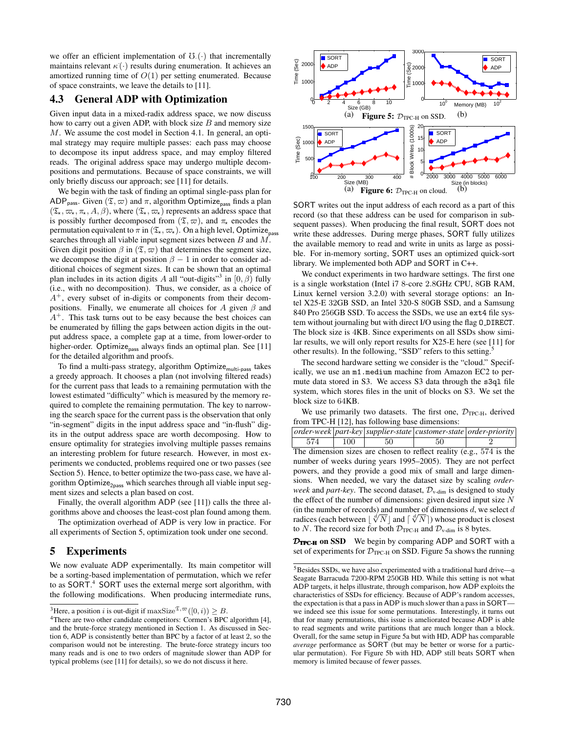we offer an efficient implementation of  $\mathcal{O}(\cdot)$  that incrementally maintains relevant  $\kappa(\cdot)$  results during enumeration. It achieves an amortized running time of  $O(1)$  per setting enumerated. Because of space constraints, we leave the details to [11].

## 4.3 General ADP with Optimization

Given input data in a mixed-radix address space, we now discuss how to carry out a given ADP, with block size  $B$  and memory size M. We assume the cost model in Section 4.1. In general, an optimal strategy may require multiple passes: each pass may choose to decompose its input address space, and may employ filtered reads. The original address space may undergo multiple decompositions and permutations. Because of space constraints, we will only briefly discuss our approach; see [11] for details.

We begin with the task of finding an optimal single-pass plan for ADP<sub>pass</sub>. Given  $(\mathfrak{T}, \varpi)$  and  $\pi$ , algorithm Optimize<sub>pass</sub> finds a plan  $(\mathfrak{T}_{\star}, \varpi_{\star}, \pi_{\star}, A, \beta)$ , where  $(\mathfrak{T}_{\star}, \varpi_{\star})$  represents an address space that is possibly further decomposed from  $(\mathfrak{T}, \varpi)$ , and  $\pi_{\star}$  encodes the permutation equivalent to  $\pi$  in  $(\mathfrak{T}_{\star}, \varpi_{\star})$ . On a high level, Optimize<sub>pass</sub> searches through all viable input segment sizes between B and M. Given digit position  $\beta$  in  $(\mathfrak{T}, \varpi)$  that determines the segment size, we decompose the digit at position  $\beta - 1$  in order to consider additional choices of segment sizes. It can be shown that an optimal plan includes in its action digits A all "out-digits"<sup>3</sup> in  $[0, \beta)$  fully (i.e., with no decomposition). Thus, we consider, as a choice of  $A^{+}$ , every subset of in-digits or components from their decompositions. Finally, we enumerate all choices for A given  $\beta$  and  $A^+$ . This task turns out to be easy because the best choices can be enumerated by filling the gaps between action digits in the output address space, a complete gap at a time, from lower-order to higher-order. Optimize<sub>pass</sub> always finds an optimal plan. See [11] for the detailed algorithm and proofs.

To find a multi-pass strategy, algorithm Optimize<sub>multi-pass</sub> takes a greedy approach. It chooses a plan (not involving filtered reads) for the current pass that leads to a remaining permutation with the lowest estimated "difficulty" which is measured by the memory required to complete the remaining permutation. The key to narrowing the search space for the current pass is the observation that only "in-segment" digits in the input address space and "in-flush" digits in the output address space are worth decomposing. How to ensure optimality for strategies involving multiple passes remains an interesting problem for future research. However, in most experiments we conducted, problems required one or two passes (see Section 5). Hence, to better optimize the two-pass case, we have algorithm Optimize<sub>2pass</sub> which searches through all viable input segment sizes and selects a plan based on cost.

Finally, the overall algorithm ADP (see [11]) calls the three algorithms above and chooses the least-cost plan found among them.

The optimization overhead of ADP is very low in practice. For all experiments of Section 5, optimization took under one second.

## 5 Experiments

We now evaluate ADP experimentally. Its main competitor will be a sorting-based implementation of permutation, which we refer to as SORT.<sup>4</sup> SORT uses the external merge sort algorithm, with the following modifications. When producing intermediate runs,



SORT writes out the input address of each record as a part of this record (so that these address can be used for comparison in subsequent passes). When producing the final result, SORT does not write these addresses. During merge phases, SORT fully utilizes the available memory to read and write in units as large as possible. For in-memory sorting, SORT uses an optimized quick-sort library. We implemented both ADP and SORT in C++.

We conduct experiments in two hardware settings. The first one is a single workstation (Intel i7 8-core 2.8GHz CPU, 8GB RAM, Linux kernel version 3.2.0) with several storage options: an Intel X25-E 32GB SSD, an Intel 320-S 80GB SSD, and a Samsung 840 Pro 256GB SSD. To access the SSDs, we use an ext4 file system without journaling but with direct I/O using the flag O DIRECT. The block size is 4KB. Since experiments on all SSDs show similar results, we will only report results for X25-E here (see [11] for other results). In the following, "SSD" refers to this setting.<sup>5</sup>

The second hardware setting we consider is the "cloud." Specifically, we use an m1.medium machine from Amazon EC2 to permute data stored in S3. We access S3 data through the s3ql file system, which stores files in the unit of blocks on S3. We set the block size to 64KB.

We use primarily two datasets. The first one,  $\mathcal{D}_{TPC-H}$ , derived from TPC-H [12], has following base dimensions:

*order-week part-key supplier-state customer-state order-priority* 574 | 100 | 50 | 50 | 2 The dimension sizes are chosen to reflect reality (e.g., 574 is the number of weeks during years 1995–2005). They are not perfect powers, and they provide a good mix of small and large dimensions. When needed, we vary the dataset size by scaling *orderweek* and *part-key*. The second dataset,  $\mathcal{D}_{v\text{-dim}}$  is designed to study the effect of the number of dimensions: given desired input size  $N$ (in the number of records) and number of dimensions  $d$ , we select  $d$ (in the number of records) and number of dimensions d, we select d<br>radices (each between  $\lfloor \sqrt[d]{N} \rfloor$  and  $\lceil \sqrt[d]{N} \rceil$ ) whose product is closest to N. The record size for both  $\mathcal{D}_{TPC-H}$  and  $\mathcal{D}_{v-dim}$  is 8 bytes.

DTPC-H on SSD We begin by comparing ADP and SORT with a set of experiments for  $\mathcal{D}_{TPCH}$  on SSD. Figure 5a shows the running

<sup>&</sup>lt;sup>3</sup>Here, a position i is out-digit if  $\max \text{Size}^{\mathfrak{T}, \varpi}([0, i)) \geq B$ .

<sup>4</sup>There are two other candidate competitors: Cormen's BPC algorithm [4], and the brute-force strategy mentioned in Section 1. As discussed in Section 6, ADP is consistently better than BPC by a factor of at least 2, so the comparison would not be interesting. The brute-force strategy incurs too many reads and is one to two orders of magnitude slower than ADP for typical problems (see [11] for details), so we do not discuss it here.

<sup>5</sup>Besides SSDs, we have also experimented with a traditional hard drive—a Seagate Barracuda 7200-RPM 250GB HD. While this setting is not what ADP targets, it helps illustrate, through comparison, how ADP exploits the characteristics of SSDs for efficiency. Because of ADP's random accesses, the expectation is that a pass in ADP is much slower than a pass in SORT we indeed see this issue for some permutations. Interestingly, it turns out that for many permutations, this issue is ameliorated because ADP is able to read segments and write partitions that are much longer than a block. Overall, for the same setup in Figure 5a but with HD, ADP has comparable *average* performance as SORT (but may be better or worse for a particular permutation). For Figure 5b with HD, ADP still beats SORT when memory is limited because of fewer passes.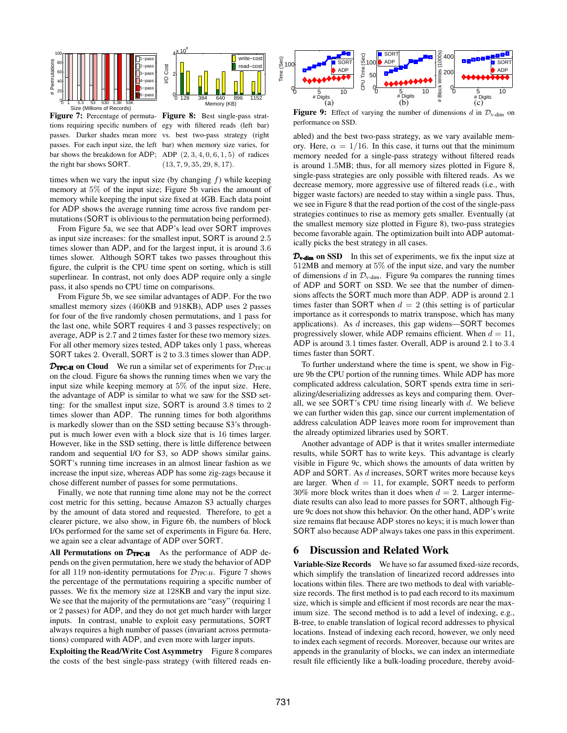



Figure 7: Percentage of permuta- Figure 8: Best single-pass strattions requiring specific numbers of egy with filtered reads (left bar) passes. Darker shades mean more vs. best two-pass strategy (right passes. For each input size, the left bar) when memory size varies, for bar shows the breakdown for ADP; ADP  $(2, 3, 4, 0, 6, 1, 5)$  of radices the right bar shows SORT.

 $(13, 7, 9, 35, 29, 8, 17).$ 

times when we vary the input size (by changing  $f$ ) while keeping memory at 5% of the input size; Figure 5b varies the amount of memory while keeping the input size fixed at 4GB. Each data point for ADP shows the average running time across five random permutations (SORT is oblivious to the permutation being performed).

From Figure 5a, we see that ADP's lead over SORT improves as input size increases: for the smallest input, SORT is around 2.5 times slower than ADP, and for the largest input, it is around 3.6 times slower. Although SORT takes two passes throughout this figure, the culprit is the CPU time spent on sorting, which is still superlinear. In contrast, not only does ADP require only a single pass, it also spends no CPU time on comparisons.

From Figure 5b, we see similar advantages of ADP. For the two smallest memory sizes (460KB and 918KB), ADP uses 2 passes for four of the five randomly chosen permutations, and 1 pass for the last one, while SORT requires 4 and 3 passes respectively; on average, ADP is 2.7 and 2 times faster for these two memory sizes. For all other memory sizes tested, ADP takes only 1 pass, whereas SORT takes 2. Overall, SORT is 2 to 3.3 times slower than ADP.

**DTPC-H on Cloud** We run a similar set of experiments for  $D_{TPC-H}$ on the cloud. Figure 6a shows the running times when we vary the input size while keeping memory at 5% of the input size. Here, the advantage of ADP is similar to what we saw for the SSD setting: for the smallest input size, SORT is around 3.8 times to 2 times slower than ADP. The running times for both algorithms is markedly slower than on the SSD setting because S3's throughput is much lower even with a block size that is 16 times larger. However, like in the SSD setting, there is little difference between random and sequential I/O for S3, so ADP shows similar gains. SORT's running time increases in an almost linear fashion as we increase the input size, whereas ADP has some zig-zags because it chose different number of passes for some permutations.

Finally, we note that running time alone may not be the correct cost metric for this setting, because Amazon S3 actually charges by the amount of data stored and requested. Therefore, to get a clearer picture, we also show, in Figure 6b, the numbers of block I/Os performed for the same set of experiments in Figure 6a. Here, we again see a clear advantage of ADP over SORT.

All Permutations on  $\mathcal{D}_{TPC\text{-}H}$  As the performance of ADP depends on the given permutation, here we study the behavior of ADP for all 119 non-identity permutations for  $\mathcal{D}_{TPC-H}$ . Figure 7 shows the percentage of the permutations requiring a specific number of passes. We fix the memory size at 128KB and vary the input size. We see that the majority of the permutations are "easy" (requiring 1 or 2 passes) for ADP, and they do not get much harder with larger inputs. In contrast, unable to exploit easy permutations, SORT always requires a high number of passes (invariant across permutations) compared with ADP, and even more with larger inputs.

Exploiting the Read/Write Cost Asymmetry Figure 8 compares the costs of the best single-pass strategy (with filtered reads en-



Figure 9: Effect of varying the number of dimensions d in  $\mathcal{D}_{v\text{-dim}}$  on performance on SSD.

abled) and the best two-pass strategy, as we vary available memory. Here,  $\alpha = 1/16$ . In this case, it turns out that the minimum memory needed for a single-pass strategy without filtered reads is around 1.5MB; thus, for all memory sizes plotted in Figure 8, single-pass strategies are only possible with filtered reads. As we decrease memory, more aggressive use of filtered reads (i.e., with bigger waste factors) are needed to stay within a single pass. Thus, we see in Figure 8 that the read portion of the cost of the single-pass strategies continues to rise as memory gets smaller. Eventually (at the smallest memory size plotted in Figure 8), two-pass strategies become favorable again. The optimization built into ADP automatically picks the best strategy in all cases.

 $\mathcal{D}_{\text{v-dim}}$  on SSD In this set of experiments, we fix the input size at 512MB and memory at 5% of the input size, and vary the number of dimensions d in  $\mathcal{D}_{v\text{-dim}}$ . Figure 9a compares the running times of ADP and SORT on SSD. We see that the number of dimensions affects the SORT much more than ADP. ADP is around 2.1 times faster than SORT when  $d = 2$  (this setting is of particular importance as it corresponds to matrix transpose, which has many applications). As  $d$  increases, this gap widens—SORT becomes progressively slower, while ADP remains efficient. When  $d = 11$ , ADP is around 3.1 times faster. Overall, ADP is around 2.1 to 3.4 times faster than SORT.

To further understand where the time is spent, we show in Figure 9b the CPU portion of the running times. While ADP has more complicated address calculation, SORT spends extra time in serializing/deserializing addresses as keys and comparing them. Overall, we see SORT's CPU time rising linearly with  $d$ . We believe we can further widen this gap, since our current implementation of address calculation ADP leaves more room for improvement than the already optimized libraries used by SORT.

Another advantage of ADP is that it writes smaller intermediate results, while SORT has to write keys. This advantage is clearly visible in Figure 9c, which shows the amounts of data written by ADP and SORT. As  $d$  increases, SORT writes more because keys are larger. When  $d = 11$ , for example, SORT needs to perform 30% more block writes than it does when  $d = 2$ . Larger intermediate results can also lead to more passes for SORT, although Figure 9c does not show this behavior. On the other hand, ADP's write size remains flat because ADP stores no keys; it is much lower than SORT also because ADP always takes one pass in this experiment.

## 6 Discussion and Related Work

Variable-Size Records We have so far assumed fixed-size records, which simplify the translation of linearized record addresses into locations within files. There are two methods to deal with variablesize records. The first method is to pad each record to its maximum size, which is simple and efficient if most records are near the maximum size. The second method is to add a level of indexing, e.g., B-tree, to enable translation of logical record addresses to physical locations. Instead of indexing each record, however, we only need to index each segment of records. Moreover, because our writes are appends in the granularity of blocks, we can index an intermediate result file efficiently like a bulk-loading procedure, thereby avoid